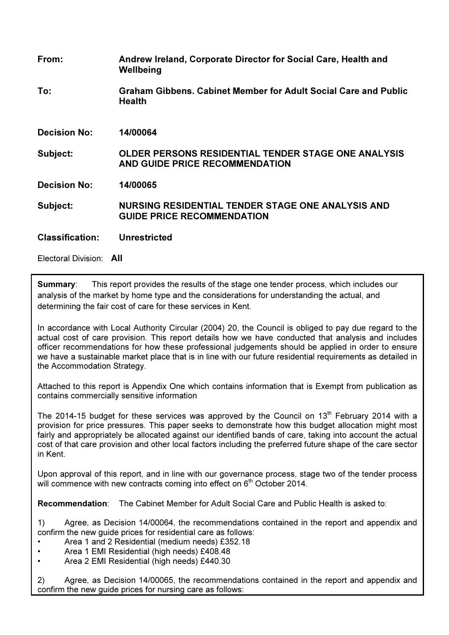| From:                   | Andrew Ireland, Corporate Director for Social Care, Health and<br>Wellbeing                         |
|-------------------------|-----------------------------------------------------------------------------------------------------|
| To:                     | Graham Gibbens. Cabinet Member for Adult Social Care and Public<br><b>Health</b>                    |
| <b>Decision No:</b>     | 14/00064                                                                                            |
| Subject:                | <b>OLDER PERSONS RESIDENTIAL TENDER STAGE ONE ANALYSIS</b><br><b>AND GUIDE PRICE RECOMMENDATION</b> |
| <b>Decision No:</b>     | 14/00065                                                                                            |
| Subject:                | NURSING RESIDENTIAL TENDER STAGE ONE ANALYSIS AND<br><b>GUIDE PRICE RECOMMENDATION</b>              |
| <b>Classification:</b>  | <b>Unrestricted</b>                                                                                 |
| Electoral Division: All |                                                                                                     |

**Summary:** This report provides the results of the stage one tender process, which includes our analysis of the market by home type and the considerations for understanding the actual, and determining the fair cost of care for these services in Kent.

In accordance with Local Authority Circular (2004) 20, the Council is obliged to pay due regard to the actual cost of care provision. This report details how we have conducted that analysis and includes officer recommendations for how these professional judgements should be applied in order to ensure we have a sustainable market place that is in line with our future residential requirements as detailed in the Accommodation Strategy.

Attached to this report is Appendix One which contains information that is Exempt from publication as contains commercially sensitive information

The 2014-15 budget for these services was approved by the Council on  $13<sup>th</sup>$  February 2014 with a provision for price pressures. This paper seeks to demonstrate how this budget allocation might most fairly and appropriately be allocated against our identified bands of care, taking into account the actual cost of that care provision and other local factors including the preferred future shape of the care sector in Kent.

Upon approval of this report, and in line with our governance process, stage two of the tender process will commence with new contracts coming into effect on 6<sup>th</sup> October 2014.

Recommendation: The Cabinet Member for Adult Social Care and Public Health is asked to:

1) Agree, as Decision 14/00064, the recommendations contained in the report and appendix and confirm the new guide prices for residential care as follows:

- Area 1 and 2 Residential (medium needs) £352.18
- Area 1 EMI Residential (high needs) £408.48
- Area 2 EMI Residential (high needs) £440.30

2) Agree, as Decision 14/00065, the recommendations contained in the report and appendix and confirm the new guide prices for nursing care as follows: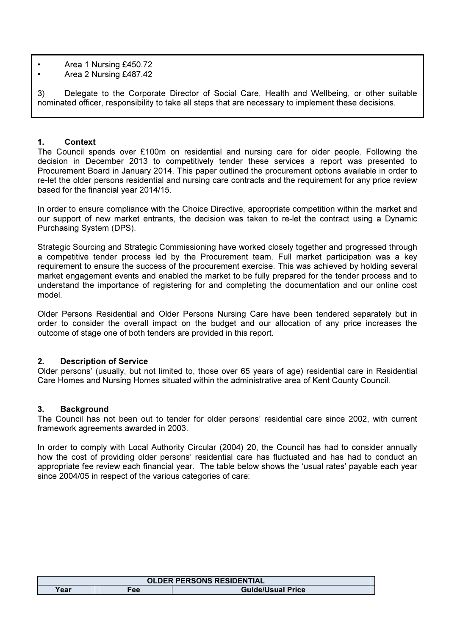- Area 1 Nursing £450.72
- Area 2 Nursing £487.42

3) Delegate to the Corporate Director of Social Care, Health and Wellbeing, or other suitable nominated officer, responsibility to take all steps that are necessary to implement these decisions.

#### 1. Context

The Council spends over £100m on residential and nursing care for older people. Following the decision in December 2013 to competitively tender these services a report was presented to Procurement Board in January 2014. This paper outlined the procurement options available in order to re-let the older persons residential and nursing care contracts and the requirement for any price review based for the financial year 2014/15.

In order to ensure compliance with the Choice Directive, appropriate competition within the market and our support of new market entrants, the decision was taken to re-let the contract using a Dynamic Purchasing System (DPS).

Strategic Sourcing and Strategic Commissioning have worked closely together and progressed through a competitive tender process led by the Procurement team. Full market participation was a key requirement to ensure the success of the procurement exercise. This was achieved by holding several market engagement events and enabled the market to be fully prepared for the tender process and to understand the importance of registering for and completing the documentation and our online cost model.

Older Persons Residential and Older Persons Nursing Care have been tendered separately but in order to consider the overall impact on the budget and our allocation of any price increases the outcome of stage one of both tenders are provided in this report.

# 2. Description of Service

Older persons' (usually, but not limited to, those over 65 years of age) residential care in Residential Care Homes and Nursing Homes situated within the administrative area of Kent County Council.

# 3. Background

The Council has not been out to tender for older persons' residential care since 2002, with current framework agreements awarded in 2003.

In order to comply with Local Authority Circular (2004) 20, the Council has had to consider annually how the cost of providing older persons' residential care has fluctuated and has had to conduct an appropriate fee review each financial year. The table below shows the 'usual rates' payable each year since 2004/05 in respect of the various categories of care:

| <b>OLDER PERSONS RESIDENTIAL</b> |      |                          |  |  |  |
|----------------------------------|------|--------------------------|--|--|--|
| Year                             | '-ee | <b>Guide/Usual Price</b> |  |  |  |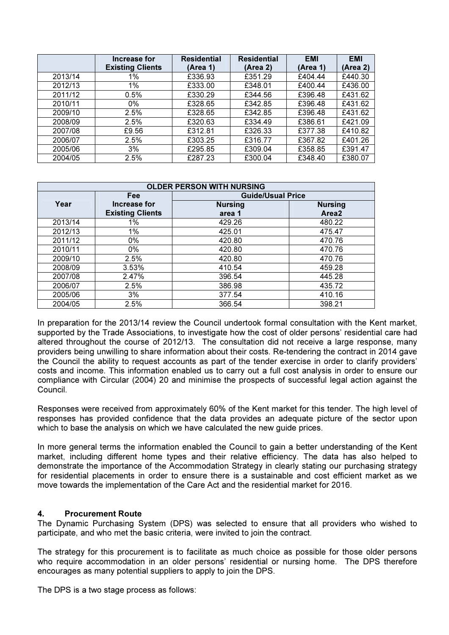|         | Increase for            | <b>Residential</b> | <b>Residential</b> | <b>EMI</b> | <b>EMI</b> |
|---------|-------------------------|--------------------|--------------------|------------|------------|
|         | <b>Existing Clients</b> | (Area 1)           | (Area 2)           | (Area 1)   | (Area 2)   |
| 2013/14 | 1%                      | £336.93            | £351.29            | £404.44    | £440.30    |
| 2012/13 | 1%                      | £333.00            | £348.01            | £400.44    | £436.00    |
| 2011/12 | 0.5%                    | £330.29            | £344.56            | £396.48    | £431.62    |
| 2010/11 | 0%                      | £328.65            | £342.85            | £396.48    | £431.62    |
| 2009/10 | 2.5%                    | £328.65            | £342.85            | £396.48    | £431.62    |
| 2008/09 | 2.5%                    | £320.63            | £334.49            | £386.61    | £421.09    |
| 2007/08 | £9.56                   | £312.81            | £326.33            | £377.38    | £410.82    |
| 2006/07 | 2.5%                    | £303.25            | £316.77            | £367.82    | £401.26    |
| 2005/06 | 3%                      | £295.85            | £309.04            | £358.85    | £391.47    |
| 2004/05 | 2.5%                    | £287.23            | £300.04            | £348.40    | £380.07    |

| <b>OLDER PERSON WITH NURSING</b> |                         |                          |                |  |  |  |
|----------------------------------|-------------------------|--------------------------|----------------|--|--|--|
|                                  | Fee                     | <b>Guide/Usual Price</b> |                |  |  |  |
| Year                             | Increase for            | <b>Nursing</b>           | <b>Nursing</b> |  |  |  |
|                                  | <b>Existing Clients</b> | area 1                   | Area2          |  |  |  |
| 2013/14                          | 1%                      | 429.26                   | 480.22         |  |  |  |
| 2012/13                          | 1%                      | 425.01                   | 475.47         |  |  |  |
| 2011/12                          | 0%                      | 420.80                   | 470.76         |  |  |  |
| 2010/11                          | 0%                      | 420.80                   | 470.76         |  |  |  |
| 2009/10                          | 2.5%                    | 420.80                   | 470.76         |  |  |  |
| 2008/09                          | 3.53%                   | 410.54                   | 459.28         |  |  |  |
| 2007/08                          | 2.47%                   | 396.54                   | 445.28         |  |  |  |
| 2006/07                          | 2.5%                    | 386.98                   | 435.72         |  |  |  |
| 2005/06                          | 3%                      | 377.54                   | 410.16         |  |  |  |
| 2004/05                          | 2.5%                    | 366.54                   | 398.21         |  |  |  |

In preparation for the 2013/14 review the Council undertook formal consultation with the Kent market, supported by the Trade Associations, to investigate how the cost of older persons' residential care had altered throughout the course of 2012/13. The consultation did not receive a large response, many providers being unwilling to share information about their costs. Re-tendering the contract in 2014 gave the Council the ability to request accounts as part of the tender exercise in order to clarify providers' costs and income. This information enabled us to carry out a full cost analysis in order to ensure our compliance with Circular (2004) 20 and minimise the prospects of successful legal action against the Council.

Responses were received from approximately 60% of the Kent market for this tender. The high level of responses has provided confidence that the data provides an adequate picture of the sector upon which to base the analysis on which we have calculated the new guide prices.

In more general terms the information enabled the Council to gain a better understanding of the Kent market, including different home types and their relative efficiency. The data has also helped to demonstrate the importance of the Accommodation Strategy in clearly stating our purchasing strategy for residential placements in order to ensure there is a sustainable and cost efficient market as we move towards the implementation of the Care Act and the residential market for 2016.

# 4. Procurement Route

The Dynamic Purchasing System (DPS) was selected to ensure that all providers who wished to participate, and who met the basic criteria, were invited to join the contract.

The strategy for this procurement is to facilitate as much choice as possible for those older persons who require accommodation in an older persons' residential or nursing home. The DPS therefore encourages as many potential suppliers to apply to join the DPS.

The DPS is a two stage process as follows: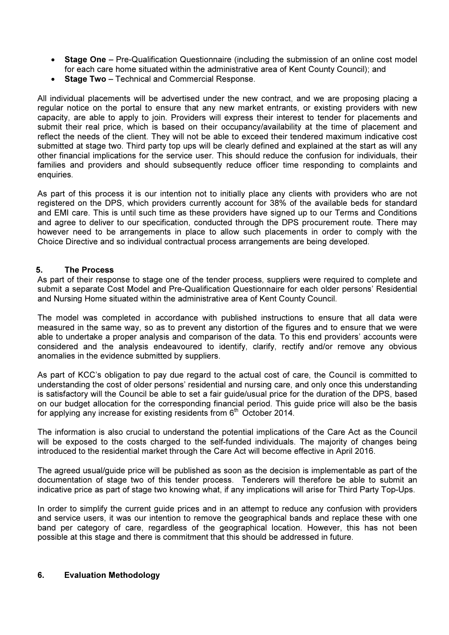- Stage One Pre-Qualification Questionnaire (including the submission of an online cost model for each care home situated within the administrative area of Kent County Council); and
- Stage Two Technical and Commercial Response.

All individual placements will be advertised under the new contract, and we are proposing placing a regular notice on the portal to ensure that any new market entrants, or existing providers with new capacity, are able to apply to join. Providers will express their interest to tender for placements and submit their real price, which is based on their occupancy/availability at the time of placement and reflect the needs of the client. They will not be able to exceed their tendered maximum indicative cost submitted at stage two. Third party top ups will be clearly defined and explained at the start as will any other financial implications for the service user. This should reduce the confusion for individuals, their families and providers and should subsequently reduce officer time responding to complaints and enquiries.

As part of this process it is our intention not to initially place any clients with providers who are not registered on the DPS, which providers currently account for 38% of the available beds for standard and EMI care. This is until such time as these providers have signed up to our Terms and Conditions and agree to deliver to our specification, conducted through the DPS procurement route. There may however need to be arrangements in place to allow such placements in order to comply with the Choice Directive and so individual contractual process arrangements are being developed.

# 5. The Process

As part of their response to stage one of the tender process, suppliers were required to complete and submit a separate Cost Model and Pre-Qualification Questionnaire for each older persons' Residential and Nursing Home situated within the administrative area of Kent County Council.

The model was completed in accordance with published instructions to ensure that all data were measured in the same way, so as to prevent any distortion of the figures and to ensure that we were able to undertake a proper analysis and comparison of the data. To this end providers' accounts were considered and the analysis endeavoured to identify, clarify, rectify and/or remove any obvious anomalies in the evidence submitted by suppliers.

As part of KCC's obligation to pay due regard to the actual cost of care, the Council is committed to understanding the cost of older persons' residential and nursing care, and only once this understanding is satisfactory will the Council be able to set a fair guide/usual price for the duration of the DPS, based on our budget allocation for the corresponding financial period. This guide price will also be the basis for applying any increase for existing residents from  $6<sup>th</sup>$  October 2014.

The information is also crucial to understand the potential implications of the Care Act as the Council will be exposed to the costs charged to the self-funded individuals. The majority of changes being introduced to the residential market through the Care Act will become effective in April 2016.

The agreed usual/guide price will be published as soon as the decision is implementable as part of the documentation of stage two of this tender process. Tenderers will therefore be able to submit an indicative price as part of stage two knowing what, if any implications will arise for Third Party Top-Ups.

In order to simplify the current guide prices and in an attempt to reduce any confusion with providers and service users, it was our intention to remove the geographical bands and replace these with one band per category of care, regardless of the geographical location. However, this has not been possible at this stage and there is commitment that this should be addressed in future.

# 6. Evaluation Methodology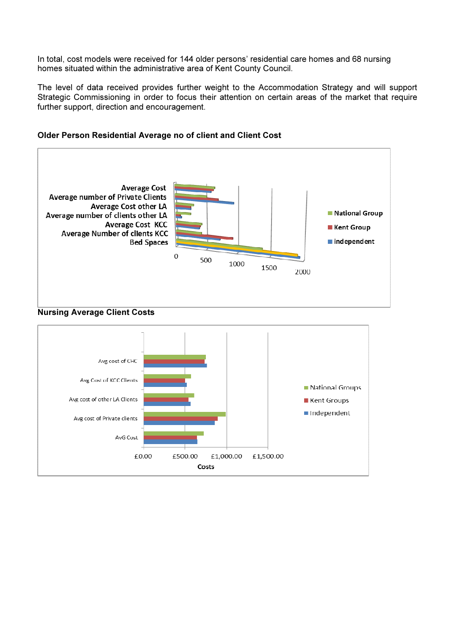In total, cost models were received for 144 older persons' residential care homes and 68 nursing homes situated within the administrative area of Kent County Council.

The level of data received provides further weight to the Accommodation Strategy and will support Strategic Commissioning in order to focus their attention on certain areas of the market that require further support, direction and encouragement.



### Older Person Residential Average no of client and Client Cost



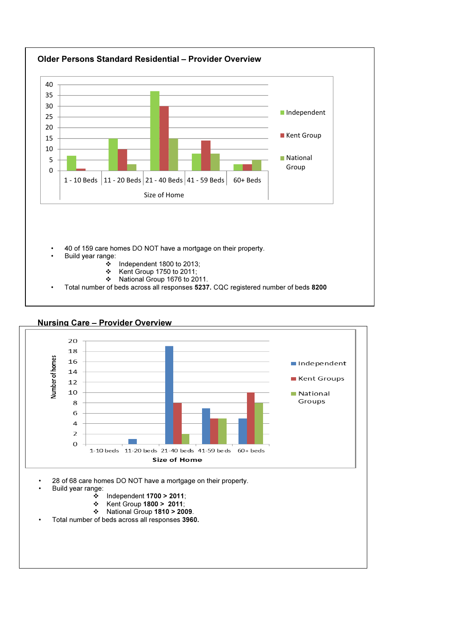



- Kent Group 1800 > 2011;
- National Group 1810 > 2009.
- 2 charts removed; in Appendix One (1) Total number of beds across all responses 3960.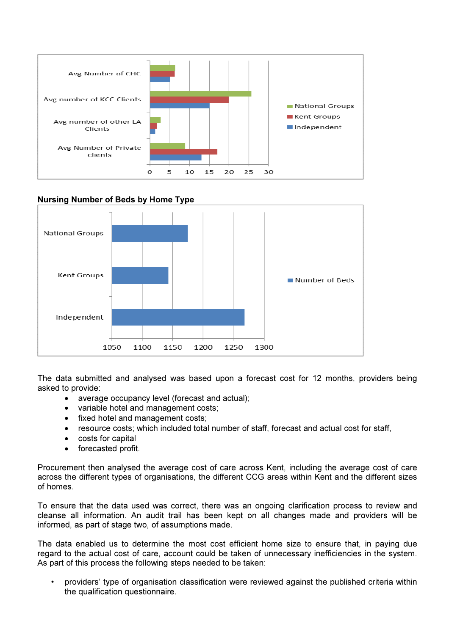

# Nursing Number of Beds by Home Type



The data submitted and analysed was based upon a forecast cost for 12 months, providers being asked to provide:

- average occupancy level (forecast and actual);
- variable hotel and management costs;
- fixed hotel and management costs;
- resource costs; which included total number of staff, forecast and actual cost for staff,
- costs for capital
- forecasted profit.

Procurement then analysed the average cost of care across Kent, including the average cost of care across the different types of organisations, the different CCG areas within Kent and the different sizes of homes.

To ensure that the data used was correct, there was an ongoing clarification process to review and cleanse all information. An audit trail has been kept on all changes made and providers will be informed, as part of stage two, of assumptions made.

The data enabled us to determine the most cost efficient home size to ensure that, in paying due regard to the actual cost of care, account could be taken of unnecessary inefficiencies in the system. As part of this process the following steps needed to be taken:

• providers' type of organisation classification were reviewed against the published criteria within the qualification questionnaire.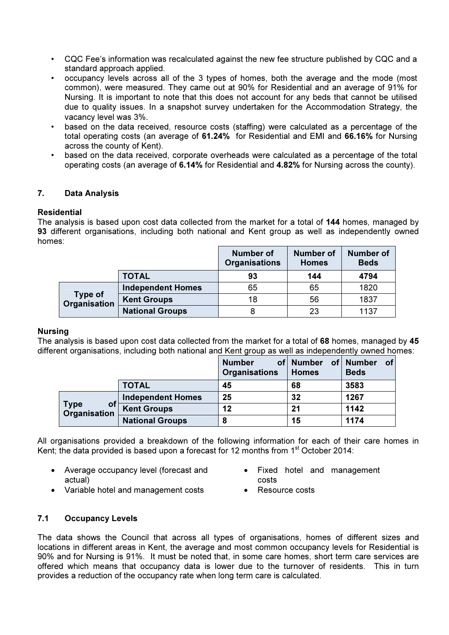- CQC Fee's information was recalculated against the new fee structure published by CQC and a standard approach applied.
- occupancy levels across all of the 3 types of homes, both the average and the mode (most common), were measured. They came out at 90% for Residential and an average of 91% for Nursing. It is important to note that this does not account for any beds that cannot be utilised due to quality issues. In a snapshot survey undertaken for the Accommodation Strategy, the vacancy level was 3%.
- based on the data received, resource costs (staffing) were calculated as a percentage of the total operating costs (an average of 61.24% for Residential and EMI and 66.16% for Nursing across the county of Kent).
- based on the data received, corporate overheads were calculated as a percentage of the total operating costs (an average of 6.14% for Residential and 4.82% for Nursing across the county).

# 7. Data Analysis

# Residential

The analysis is based upon cost data collected from the market for a total of 144 homes, managed by 93 different organisations, including both national and Kent group as well as independently owned homes:

|                                |                          | <b>Number of</b><br><b>Organisations</b> | <b>Number of</b><br><b>Homes</b> | <b>Number of</b><br><b>Beds</b> |
|--------------------------------|--------------------------|------------------------------------------|----------------------------------|---------------------------------|
|                                | <b>TOTAL</b>             | 93                                       | 144                              | 4794                            |
| <b>Type of</b><br>Organisation | <b>Independent Homes</b> | 65                                       | 65                               | 1820                            |
|                                | <b>Kent Groups</b>       | 18                                       | 56                               | 1837                            |
|                                | <b>National Groups</b>   |                                          | 23                               | 1137                            |

#### Nursing

The analysis is based upon cost data collected from the market for a total of 68 homes, managed by 45 different organisations, including both national and Kent group as well as independently owned homes:

|                                   |                          | <b>Number</b><br>Organisations | of Number<br><b>Homes</b> | of <sub>l</sub><br>of Number<br><b>Beds</b> |
|-----------------------------------|--------------------------|--------------------------------|---------------------------|---------------------------------------------|
|                                   | <b>TOTAL</b>             | 45                             | 68                        | 3583                                        |
| <b>Type</b><br>οt<br>Organisation | <b>Independent Homes</b> | 25                             | 32                        | 1267                                        |
|                                   | <b>Kent Groups</b>       | 12                             | 21                        | 1142                                        |
|                                   | <b>National Groups</b>   | 8                              | 15                        | 1174                                        |

All organisations provided a breakdown of the following information for each of their care homes in Kent; the data provided is based upon a forecast for 12 months from  $1<sup>st</sup>$  October 2014:

- Average occupancy level (forecast and actual)
- Fixed hotel and management costs
- Variable hotel and management costs Resource costs
- 
- 

# 7.1 Occupancy Levels

The data shows the Council that across all types of organisations, homes of different sizes and locations in different areas in Kent, the average and most common occupancy levels for Residential is 90% and for Nursing is 91%. It must be noted that, in some care homes, short term care services are offered which means that occupancy data is lower due to the turnover of residents. This in turn provides a reduction of the occupancy rate when long term care is calculated.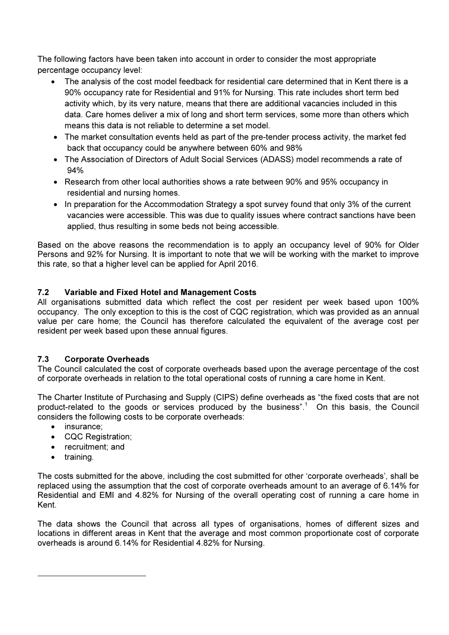The following factors have been taken into account in order to consider the most appropriate percentage occupancy level:

- The analysis of the cost model feedback for residential care determined that in Kent there is a 90% occupancy rate for Residential and 91% for Nursing. This rate includes short term bed activity which, by its very nature, means that there are additional vacancies included in this data. Care homes deliver a mix of long and short term services, some more than others which means this data is not reliable to determine a set model.
- The market consultation events held as part of the pre-tender process activity, the market fed back that occupancy could be anywhere between 60% and 98%
- The Association of Directors of Adult Social Services (ADASS) model recommends a rate of 94%
- Research from other local authorities shows a rate between 90% and 95% occupancy in residential and nursing homes.
- In preparation for the Accommodation Strategy a spot survey found that only 3% of the current vacancies were accessible. This was due to quality issues where contract sanctions have been applied, thus resulting in some beds not being accessible.

Based on the above reasons the recommendation is to apply an occupancy level of 90% for Older Persons and 92% for Nursing. It is important to note that we will be working with the market to improve this rate, so that a higher level can be applied for April 2016.

# 7.2 Variable and Fixed Hotel and Management Costs

All organisations submitted data which reflect the cost per resident per week based upon 100% occupancy. The only exception to this is the cost of CQC registration, which was provided as an annual value per care home; the Council has therefore calculated the equivalent of the average cost per resident per week based upon these annual figures.

# 7.3 Corporate Overheads

The Council calculated the cost of corporate overheads based upon the average percentage of the cost of corporate overheads in relation to the total operational costs of running a care home in Kent.

The Charter Institute of Purchasing and Supply (CIPS) define overheads as "the fixed costs that are not product-related to the goods or services produced by the business".<sup>1</sup> On this basis, the Council considers the following costs to be corporate overheads:

- insurance:
- CQC Registration;
- recruitment; and
- training.

 $\overline{a}$ 

The costs submitted for the above, including the cost submitted for other 'corporate overheads', shall be replaced using the assumption that the cost of corporate overheads amount to an average of 6.14% for Residential and EMI and 4.82% for Nursing of the overall operating cost of running a care home in Kent.

The data shows the Council that across all types of organisations, homes of different sizes and locations in different areas in Kent that the average and most common proportionate cost of corporate overheads is around 6.14% for Residential 4.82% for Nursing.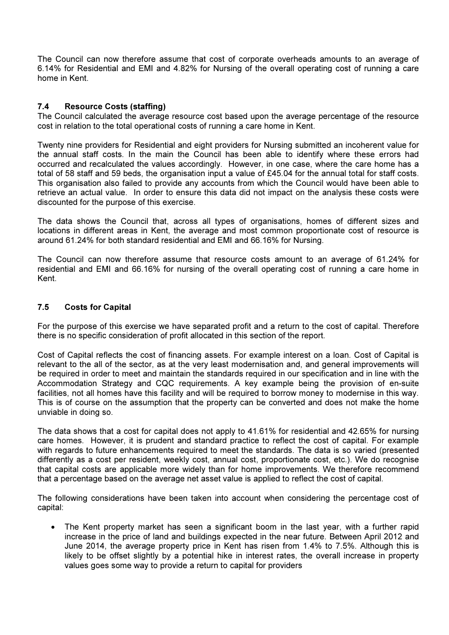The Council can now therefore assume that cost of corporate overheads amounts to an average of 6.14% for Residential and EMI and 4.82% for Nursing of the overall operating cost of running a care home in Kent.

# 7.4 Resource Costs (staffing)

The Council calculated the average resource cost based upon the average percentage of the resource cost in relation to the total operational costs of running a care home in Kent.

Twenty nine providers for Residential and eight providers for Nursing submitted an incoherent value for the annual staff costs. In the main the Council has been able to identify where these errors had occurred and recalculated the values accordingly. However, in one case, where the care home has a total of 58 staff and 59 beds, the organisation input a value of £45.04 for the annual total for staff costs. This organisation also failed to provide any accounts from which the Council would have been able to retrieve an actual value. In order to ensure this data did not impact on the analysis these costs were discounted for the purpose of this exercise.

The data shows the Council that, across all types of organisations, homes of different sizes and locations in different areas in Kent, the average and most common proportionate cost of resource is around 61.24% for both standard residential and EMI and 66.16% for Nursing.

The Council can now therefore assume that resource costs amount to an average of 61.24% for residential and EMI and 66.16% for nursing of the overall operating cost of running a care home in Kent.

# 7.5 Costs for Capital

For the purpose of this exercise we have separated profit and a return to the cost of capital. Therefore there is no specific consideration of profit allocated in this section of the report.

Cost of Capital reflects the cost of financing assets. For example interest on a loan. Cost of Capital is relevant to the all of the sector, as at the very least modernisation and, and general improvements will be required in order to meet and maintain the standards required in our specification and in line with the Accommodation Strategy and CQC requirements. A key example being the provision of en-suite facilities, not all homes have this facility and will be required to borrow money to modernise in this way. This is of course on the assumption that the property can be converted and does not make the home unviable in doing so.

The data shows that a cost for capital does not apply to 41.61% for residential and 42.65% for nursing care homes. However, it is prudent and standard practice to reflect the cost of capital. For example with regards to future enhancements required to meet the standards. The data is so varied (presented differently as a cost per resident, weekly cost, annual cost, proportionate cost, etc.). We do recognise that capital costs are applicable more widely than for home improvements. We therefore recommend that a percentage based on the average net asset value is applied to reflect the cost of capital.

The following considerations have been taken into account when considering the percentage cost of capital:

The Kent property market has seen a significant boom in the last year, with a further rapid increase in the price of land and buildings expected in the near future. Between April 2012 and June 2014, the average property price in Kent has risen from 1.4% to 7.5%. Although this is likely to be offset slightly by a potential hike in interest rates, the overall increase in property values goes some way to provide a return to capital for providers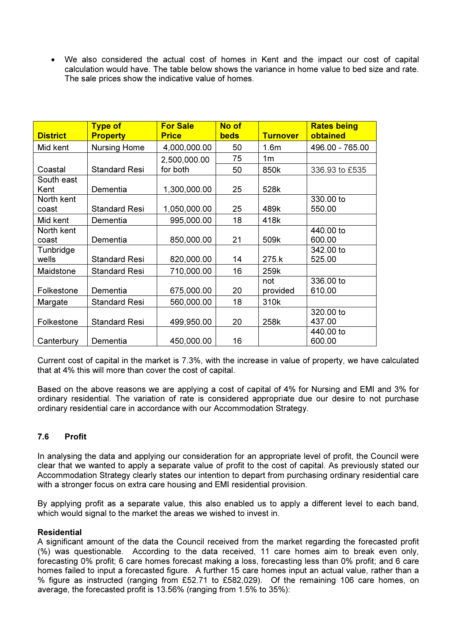We also considered the actual cost of homes in Kent and the impact our cost of capital calculation would have. The table below shows the variance in home value to bed size and rate. The sale prices show the indicative value of homes.

| <b>District</b>     | <b>Type of</b><br><b>Property</b> | <b>For Sale</b><br><b>Price</b> | No of<br><b>beds</b> | <b>Turnover</b>  | <b>Rates being</b><br>obtained |
|---------------------|-----------------------------------|---------------------------------|----------------------|------------------|--------------------------------|
| Mid kent            | <b>Nursing Home</b>               | 4,000,000.00                    | 50                   | 1.6 <sub>m</sub> | 496.00 - 765.00                |
|                     |                                   | 2,500,000.00                    | 75                   | 1 <sub>m</sub>   |                                |
| Coastal             | <b>Standard Resi</b>              | for both                        | 50                   | 850k             | 336.93 to £535                 |
| South east<br>Kent  | Dementia                          | 1,300,000.00                    | 25                   | 528k             |                                |
| North kent<br>coast | <b>Standard Resi</b>              | 1,050,000.00                    | 25                   | 489k             | 330.00 to<br>550.00            |
| Mid kent            | Dementia                          | 995,000.00                      | 18                   | 418k             |                                |
| North kent<br>coast | Dementia                          | 850,000.00                      | 21                   | 509k             | 440.00 to<br>600.00            |
| Tunbridge<br>wells  | <b>Standard Resi</b>              | 820,000.00                      | 14                   | 275.k            | 342.00 to<br>525.00            |
| Maidstone           | <b>Standard Resi</b>              | 710,000.00                      | 16                   | 259k             |                                |
| Folkestone          | Dementia                          | 675,000.00                      | 20                   | not<br>provided  | 336,00 to<br>610.00            |
| Margate             | <b>Standard Resi</b>              | 560,000.00                      | 18                   | 310k             |                                |
| Folkestone          | <b>Standard Resi</b>              | 499,950.00                      | 20                   | 258k             | 320.00 to<br>437.00            |
| Canterbury          | Dementia                          | 450,000.00                      | 16                   |                  | 440.00 to<br>600.00            |

Current cost of capital in the market is 7.3%, with the increase in value of property, we have calculated that at 4% this will more than cover the cost of capital.

Based on the above reasons we are applying a cost of capital of 4% for Nursing and EMI and 3% for ordinary residential. The variation of rate is considered appropriate due our desire to not purchase ordinary residential care in accordance with our Accommodation Strategy.

# 7.6 Profit

In analysing the data and applying our consideration for an appropriate level of profit, the Council were clear that we wanted to apply a separate value of profit to the cost of capital. As previously stated our Accommodation Strategy clearly states our intention to depart from purchasing ordinary residential care with a stronger focus on extra care housing and EMI residential provision.

By applying profit as a separate value, this also enabled us to apply a different level to each band, which would signal to the market the areas we wished to invest in.

### **Residential**

A significant amount of the data the Council received from the market regarding the forecasted profit (%) was questionable. According to the data received, 11 care homes aim to break even only, forecasting 0% profit; 6 care homes forecast making a loss, forecasting less than 0% profit; and 6 care homes failed to input a forecasted figure. A further 15 care homes input an actual value, rather than a % figure as instructed (ranging from £52.71 to £582,029). Of the remaining 106 care homes, on average, the forecasted profit is 13.56% (ranging from 1.5% to 35%):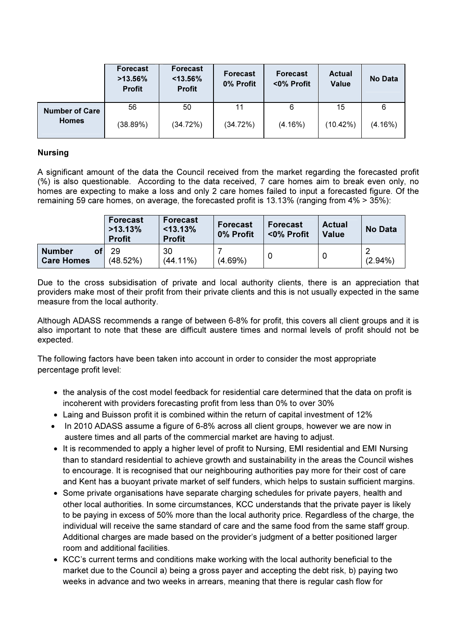|                       | <b>Forecast</b><br>$>13.56\%$<br><b>Profit</b> | <b>Forecast</b><br>$< 13.56\%$<br><b>Profit</b> | <b>Forecast</b><br>0% Profit | <b>Forecast</b><br><0% Profit | <b>Actual</b><br><b>Value</b> | No Data    |
|-----------------------|------------------------------------------------|-------------------------------------------------|------------------------------|-------------------------------|-------------------------------|------------|
| <b>Number of Care</b> | 56                                             | 50                                              | 11                           | 6                             | 15                            | 6          |
| <b>Homes</b>          | (38.89%)                                       | (34.72%)                                        | (34.72%)                     | (4.16%)                       | (10.42%)                      | $(4.16\%)$ |

# Nursing

A significant amount of the data the Council received from the market regarding the forecasted profit (%) is also questionable. According to the data received, 7 care homes aim to break even only, no homes are expecting to make a loss and only 2 care homes failed to input a forecasted figure. Of the remaining 59 care homes, on average, the forecasted profit is 13.13% (ranging from 4% > 35%):

|                                          | <b>Forecast</b><br>>13.13%<br><b>Profit</b> | <b>Forecast</b><br>$<$ 13.13%<br><b>Profit</b> | <b>Forecast</b><br>0% Profit | <b>Forecast</b><br><0% Profit | <b>Actual</b><br><b>Value</b> | <b>No Data</b> |
|------------------------------------------|---------------------------------------------|------------------------------------------------|------------------------------|-------------------------------|-------------------------------|----------------|
| <b>Number</b><br>οt<br><b>Care Homes</b> | 29<br>(48.52%)                              | 30<br>$(44.11\%)$                              | (4.69%)                      |                               | 0                             | $(2.94\%)$     |

Due to the cross subsidisation of private and local authority clients, there is an appreciation that providers make most of their profit from their private clients and this is not usually expected in the same measure from the local authority.

Although ADASS recommends a range of between 6-8% for profit, this covers all client groups and it is also important to note that these are difficult austere times and normal levels of profit should not be expected.

The following factors have been taken into account in order to consider the most appropriate percentage profit level:

- the analysis of the cost model feedback for residential care determined that the data on profit is incoherent with providers forecasting profit from less than 0% to over 30%
- Laing and Buisson profit it is combined within the return of capital investment of 12%
- In 2010 ADASS assume a figure of 6-8% across all client groups, however we are now in austere times and all parts of the commercial market are having to adjust.
- It is recommended to apply a higher level of profit to Nursing, EMI residential and EMI Nursing than to standard residential to achieve growth and sustainability in the areas the Council wishes to encourage. It is recognised that our neighbouring authorities pay more for their cost of care and Kent has a buoyant private market of self funders, which helps to sustain sufficient margins.
- Some private organisations have separate charging schedules for private payers, health and other local authorities. In some circumstances, KCC understands that the private payer is likely to be paying in excess of 50% more than the local authority price. Regardless of the charge, the individual will receive the same standard of care and the same food from the same staff group. Additional charges are made based on the provider's judgment of a better positioned larger room and additional facilities.
- KCC's current terms and conditions make working with the local authority beneficial to the market due to the Council a) being a gross payer and accepting the debt risk, b) paying two weeks in advance and two weeks in arrears, meaning that there is regular cash flow for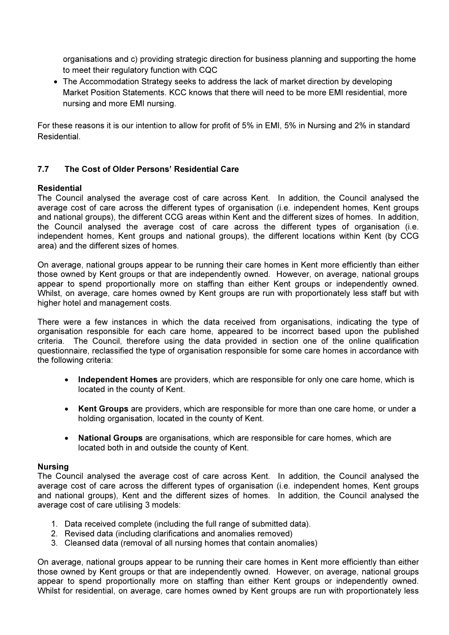organisations and c) providing strategic direction for business planning and supporting the home to meet their regulatory function with CQC

• The Accommodation Strategy seeks to address the lack of market direction by developing Market Position Statements. KCC knows that there will need to be more EMI residential, more nursing and more EMI nursing.

For these reasons it is our intention to allow for profit of 5% in EMI, 5% in Nursing and 2% in standard Residential.

# 7.7 The Cost of Older Persons' Residential Care

### Residential

The Council analysed the average cost of care across Kent. In addition, the Council analysed the average cost of care across the different types of organisation (i.e. independent homes, Kent groups and national groups), the different CCG areas within Kent and the different sizes of homes. In addition, the Council analysed the average cost of care across the different types of organisation (i.e. independent homes, Kent groups and national groups), the different locations within Kent (by CCG area) and the different sizes of homes.

On average, national groups appear to be running their care homes in Kent more efficiently than either those owned by Kent groups or that are independently owned. However, on average, national groups appear to spend proportionally more on staffing than either Kent groups or independently owned. Whilst, on average, care homes owned by Kent groups are run with proportionately less staff but with higher hotel and management costs.

There were a few instances in which the data received from organisations, indicating the type of organisation responsible for each care home, appeared to be incorrect based upon the published criteria. The Council, therefore using the data provided in section one of the online qualification questionnaire, reclassified the type of organisation responsible for some care homes in accordance with the following criteria:

- Independent Homes are providers, which are responsible for only one care home, which is located in the county of Kent.
- Kent Groups are providers, which are responsible for more than one care home, or under a holding organisation, located in the county of Kent.
- National Groups are organisations, which are responsible for care homes, which are located both in and outside the county of Kent.

#### Nursing

The Council analysed the average cost of care across Kent. In addition, the Council analysed the average cost of care across the different types of organisation (i.e. independent homes, Kent groups and national groups), Kent and the different sizes of homes. In addition, the Council analysed the average cost of care utilising 3 models:

- 1. Data received complete (including the full range of submitted data).
- 2. Revised data (including clarifications and anomalies removed)
- 3. Cleansed data (removal of all nursing homes that contain anomalies)

On average, national groups appear to be running their care homes in Kent more efficiently than either those owned by Kent groups or that are independently owned. However, on average, national groups appear to spend proportionally more on staffing than either Kent groups or independently owned. Whilst for residential, on average, care homes owned by Kent groups are run with proportionately less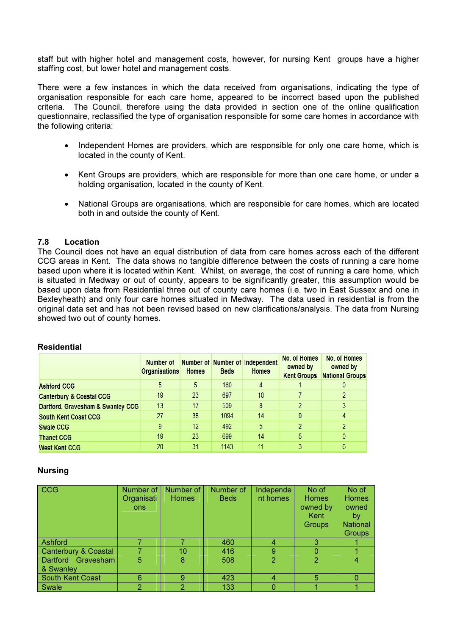staff but with higher hotel and management costs, however, for nursing Kent groups have a higher staffing cost, but lower hotel and management costs.

There were a few instances in which the data received from organisations, indicating the type of organisation responsible for each care home, appeared to be incorrect based upon the published criteria. The Council, therefore using the data provided in section one of the online qualification questionnaire, reclassified the type of organisation responsible for some care homes in accordance with the following criteria:

- Independent Homes are providers, which are responsible for only one care home, which is located in the county of Kent.
- Kent Groups are providers, which are responsible for more than one care home, or under a holding organisation, located in the county of Kent.
- National Groups are organisations, which are responsible for care homes, which are located both in and outside the county of Kent.

### 7.8 Location

The Council does not have an equal distribution of data from care homes across each of the different CCG areas in Kent. The data shows no tangible difference between the costs of running a care home based upon where it is located within Kent. Whilst, on average, the cost of running a care home, which is situated in Medway or out of county, appears to be significantly greater, this assumption would be based upon data from Residential three out of county care homes (i.e. two in East Sussex and one in Bexleyheath) and only four care homes situated in Medway. The data used in residential is from the original data set and has not been revised based on new clarifications/analysis. The data from Nursing showed two out of county homes.

#### Residential

|                                     | Number of<br><b>Organisations</b> | <b>Homes</b> | <b>Beds</b> | <b>Number of Number of Independent</b><br><b>Homes</b> | No. of Homes<br>owned by<br><b>Kent Groups</b> | No. of Homes<br>owned by<br><b>National Groups</b> |
|-------------------------------------|-----------------------------------|--------------|-------------|--------------------------------------------------------|------------------------------------------------|----------------------------------------------------|
| <b>Ashford CCG</b>                  | 5                                 | 5            | 160         | 4                                                      |                                                | U                                                  |
| <b>Canterbury &amp; Coastal CCG</b> | 19                                | 23           | 697         | 10                                                     |                                                | 2                                                  |
| Dartford, Gravesham & Swanley CCG   | 13                                | 17           | 509         | 8                                                      |                                                | 3                                                  |
| <b>South Kent Coast CCG</b>         | 27                                | 38           | 1094        | 14                                                     | 9                                              | 4                                                  |
| <b>Swale CCG</b>                    | 9                                 | 12           | 492         | 5                                                      |                                                |                                                    |
| <b>Thanet CCG</b>                   | 19                                | 23           | 699         | 14                                                     | 5                                              | 0                                                  |
| West Kent CCG                       | 20                                | 31           | 1143        | 11                                                     |                                                | 6                                                  |

#### Nursing

| CCG                     | Number of  | Number of    | Number of   | Independe | No of          | No of           |
|-------------------------|------------|--------------|-------------|-----------|----------------|-----------------|
|                         | Organisati | <b>Homes</b> | <b>Beds</b> | nt homes  | <b>Homes</b>   | <b>Homes</b>    |
|                         | <b>ons</b> |              |             |           | owned by       | owned           |
|                         |            |              |             |           | Kent           | by              |
|                         |            |              |             |           | Groups         | <b>National</b> |
|                         |            |              |             |           |                | <b>Groups</b>   |
| Ashford                 |            |              | 460         | 4         | З              |                 |
| Canterbury & Coastal    |            | 10           | 416         | 9         | <sup>0</sup>   |                 |
| Dartford Gravesham      | 5          | 8            | 508         | 2         | $\overline{2}$ | 4               |
| & Swanley               |            |              |             |           |                |                 |
| <b>South Kent Coast</b> | 6          | 9            | 423         | 4         | 5              | Ω               |
| Swale                   | 2          | 2            | 133         |           |                |                 |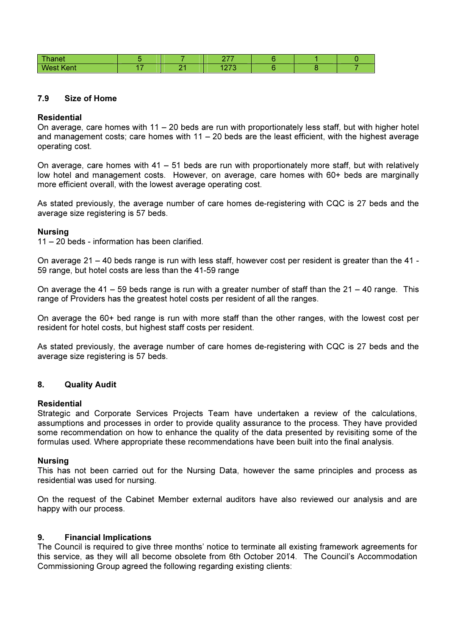| Thanet           |     | ヘララ<br>. .     |  |  |
|------------------|-----|----------------|--|--|
| <b>West Kent</b> | ∩ ⊿ | 1070<br>14 I V |  |  |

#### 7.9 Size of Home

### Residential

On average, care homes with 11 – 20 beds are run with proportionately less staff, but with higher hotel and management costs; care homes with  $11 - 20$  beds are the least efficient, with the highest average operating cost.

On average, care homes with 41 – 51 beds are run with proportionately more staff, but with relatively low hotel and management costs. However, on average, care homes with 60+ beds are marginally more efficient overall, with the lowest average operating cost.

As stated previously, the average number of care homes de-registering with CQC is 27 beds and the average size registering is 57 beds.

### Nursing

11 – 20 beds - information has been clarified.

On average 21 – 40 beds range is run with less staff, however cost per resident is greater than the 41 - 59 range, but hotel costs are less than the 41-59 range

On average the 41 – 59 beds range is run with a greater number of staff than the  $21 - 40$  range. This range of Providers has the greatest hotel costs per resident of all the ranges.

On average the 60+ bed range is run with more staff than the other ranges, with the lowest cost per resident for hotel costs, but highest staff costs per resident.

As stated previously, the average number of care homes de-registering with CQC is 27 beds and the average size registering is 57 beds.

# 8. Quality Audit

#### Residential

Strategic and Corporate Services Projects Team have undertaken a review of the calculations, assumptions and processes in order to provide quality assurance to the process. They have provided some recommendation on how to enhance the quality of the data presented by revisiting some of the formulas used. Where appropriate these recommendations have been built into the final analysis.

#### Nursing

This has not been carried out for the Nursing Data, however the same principles and process as residential was used for nursing.

On the request of the Cabinet Member external auditors have also reviewed our analysis and are happy with our process.

#### 9. Financial Implications

The Council is required to give three months' notice to terminate all existing framework agreements for this service, as they will all become obsolete from 6th October 2014. The Council's Accommodation Commissioning Group agreed the following regarding existing clients: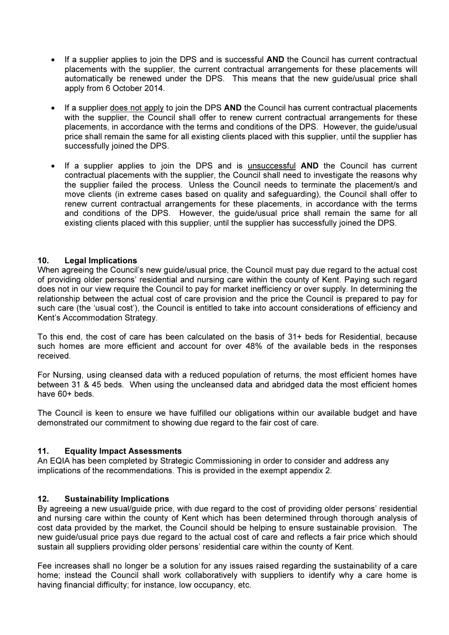- If a supplier applies to join the DPS and is successful AND the Council has current contractual placements with the supplier, the current contractual arrangements for these placements will automatically be renewed under the DPS. This means that the new guide/usual price shall apply from 6 October 2014.
- If a supplier does not apply to join the DPS AND the Council has current contractual placements with the supplier, the Council shall offer to renew current contractual arrangements for these placements, in accordance with the terms and conditions of the DPS. However, the guide/usual price shall remain the same for all existing clients placed with this supplier, until the supplier has successfully joined the DPS.
- If a supplier applies to join the DPS and is unsuccessful AND the Council has current contractual placements with the supplier, the Council shall need to investigate the reasons why the supplier failed the process. Unless the Council needs to terminate the placement/s and move clients (in extreme cases based on quality and safeguarding), the Council shall offer to renew current contractual arrangements for these placements, in accordance with the terms and conditions of the DPS. However, the guide/usual price shall remain the same for all existing clients placed with this supplier, until the supplier has successfully joined the DPS.

# 10. Legal Implications

When agreeing the Council's new guide/usual price, the Council must pay due regard to the actual cost of providing older persons' residential and nursing care within the county of Kent. Paying such regard does not in our view require the Council to pay for market inefficiency or over supply. In determining the relationship between the actual cost of care provision and the price the Council is prepared to pay for such care (the 'usual cost'), the Council is entitled to take into account considerations of efficiency and Kent's Accommodation Strategy.

To this end, the cost of care has been calculated on the basis of 31+ beds for Residential, because such homes are more efficient and account for over 48% of the available beds in the responses received.

For Nursing, using cleansed data with a reduced population of returns, the most efficient homes have between 31 & 45 beds. When using the uncleansed data and abridged data the most efficient homes have 60+ beds.

The Council is keen to ensure we have fulfilled our obligations within our available budget and have demonstrated our commitment to showing due regard to the fair cost of care.

#### 11. Equality Impact Assessments

An EQIA has been completed by Strategic Commissioning in order to consider and address any implications of the recommendations. This is provided in the exempt appendix 2.

#### 12. Sustainability Implications

By agreeing a new usual/guide price, with due regard to the cost of providing older persons' residential and nursing care within the county of Kent which has been determined through thorough analysis of cost data provided by the market, the Council should be helping to ensure sustainable provision. The new guide/usual price pays due regard to the actual cost of care and reflects a fair price which should sustain all suppliers providing older persons' residential care within the county of Kent.

Fee increases shall no longer be a solution for any issues raised regarding the sustainability of a care home; instead the Council shall work collaboratively with suppliers to identify why a care home is having financial difficulty; for instance, low occupancy, etc.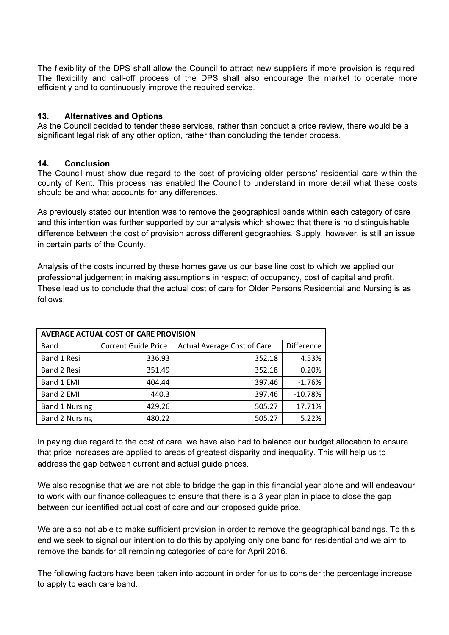The flexibility of the DPS shall allow the Council to attract new suppliers if more provision is required. The flexibility and call-off process of the DPS shall also encourage the market to operate more efficiently and to continuously improve the required service.

# 13. Alternatives and Options

As the Council decided to tender these services, rather than conduct a price review, there would be a significant legal risk of any other option, rather than concluding the tender process.

# 14. Conclusion

The Council must show due regard to the cost of providing older persons' residential care within the county of Kent. This process has enabled the Council to understand in more detail what these costs should be and what accounts for any differences.

As previously stated our intention was to remove the geographical bands within each category of care and this intention was further supported by our analysis which showed that there is no distinguishable difference between the cost of provision across different geographies. Supply, however, is still an issue in certain parts of the County.

Analysis of the costs incurred by these homes gave us our base line cost to which we applied our professional judgement in making assumptions in respect of occupancy, cost of capital and profit. These lead us to conclude that the actual cost of care for Older Persons Residential and Nursing is as follows:

| AVERAGE ACTUAL COST OF CARE PROVISION |                            |                                    |            |  |  |  |  |  |
|---------------------------------------|----------------------------|------------------------------------|------------|--|--|--|--|--|
| <b>Band</b>                           | <b>Current Guide Price</b> | <b>Actual Average Cost of Care</b> | Difference |  |  |  |  |  |
| <b>Band 1 Resi</b>                    | 336.93                     | 352.18                             | 4.53%      |  |  |  |  |  |
| <b>Band 2 Resi</b>                    | 351.49                     | 352.18                             | 0.20%      |  |  |  |  |  |
| Band 1 EMI                            | 404.44                     | 397.46                             | $-1.76%$   |  |  |  |  |  |
| Band 2 EMI                            | 440.3                      | 397.46                             | $-10.78%$  |  |  |  |  |  |
| <b>Band 1 Nursing</b>                 | 429.26                     | 505.27                             | 17.71%     |  |  |  |  |  |
| <b>Band 2 Nursing</b>                 | 480.22                     | 505.27                             | 5.22%      |  |  |  |  |  |

In paying due regard to the cost of care, we have also had to balance our budget allocation to ensure that price increases are applied to areas of greatest disparity and inequality. This will help us to address the gap between current and actual guide prices.

We also recognise that we are not able to bridge the gap in this financial year alone and will endeavour to work with our finance colleagues to ensure that there is a 3 year plan in place to close the gap between our identified actual cost of care and our proposed guide price.

We are also not able to make sufficient provision in order to remove the geographical bandings. To this end we seek to signal our intention to do this by applying only one band for residential and we aim to remove the bands for all remaining categories of care for April 2016.

The following factors have been taken into account in order for us to consider the percentage increase to apply to each care band.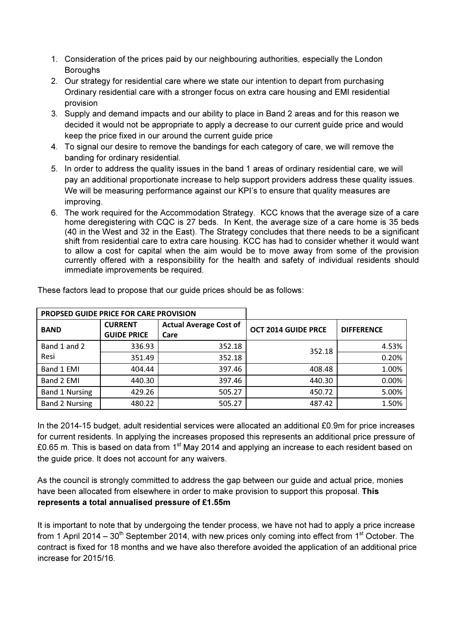- 1. Consideration of the prices paid by our neighbouring authorities, especially the London Boroughs
- 2. Our strategy for residential care where we state our intention to depart from purchasing Ordinary residential care with a stronger focus on extra care housing and EMI residential provision
- 3. Supply and demand impacts and our ability to place in Band 2 areas and for this reason we decided it would not be appropriate to apply a decrease to our current guide price and would keep the price fixed in our around the current guide price
- 4. To signal our desire to remove the bandings for each category of care, we will remove the banding for ordinary residential.
- 5. In order to address the quality issues in the band 1 areas of ordinary residential care, we will pay an additional proportionate increase to help support providers address these quality issues. We will be measuring performance against our KPI's to ensure that quality measures are improving.
- 6. The work required for the Accommodation Strategy. KCC knows that the average size of a care home deregistering with CQC is 27 beds. In Kent, the average size of a care home is 35 beds (40 in the West and 32 in the East). The Strategy concludes that there needs to be a significant shift from residential care to extra care housing. KCC has had to consider whether it would want to allow a cost for capital when the aim would be to move away from some of the provision currently offered with a responsibility for the health and safety of individual residents should immediate improvements be required.

| <b>PROPSED GUIDE PRICE FOR CARE PROVISION</b> |                                      |                                       |                            |                   |
|-----------------------------------------------|--------------------------------------|---------------------------------------|----------------------------|-------------------|
| <b>BAND</b>                                   | <b>CURRENT</b><br><b>GUIDE PRICE</b> | <b>Actual Average Cost of</b><br>Care | <b>OCT 2014 GUIDE PRCE</b> | <b>DIFFERENCE</b> |
| Band 1 and 2                                  | 336.93                               | 352.18                                | 352.18                     | 4.53%             |
| Resi                                          | 351.49                               | 352.18                                |                            | 0.20%             |
| Band 1 EMI                                    | 404.44                               | 397.46                                | 408.48                     | 1.00%             |
| Band 2 EMI                                    | 440.30                               | 397.46                                | 440.30                     | 0.00%             |
| <b>Band 1 Nursing</b>                         | 429.26                               | 505.27                                | 450.72                     | 5.00%             |
| <b>Band 2 Nursing</b>                         | 480.22                               | 505.27                                | 487.42                     | 1.50%             |

These factors lead to propose that our guide prices should be as follows:

In the 2014-15 budget, adult residential services were allocated an additional £0.9m for price increases for current residents. In applying the increases proposed this represents an additional price pressure of £0.65 m. This is based on data from  $1<sup>st</sup>$  May 2014 and applying an increase to each resident based on the guide price. It does not account for any waivers.

As the council is strongly committed to address the gap between our guide and actual price, monies have been allocated from elsewhere in order to make provision to support this proposal. This represents a total annualised pressure of £1.55m

It is important to note that by undergoing the tender process, we have not had to apply a price increase from 1 April 2014 – 30<sup>th</sup> September 2014, with new prices only coming into effect from 1<sup>st</sup> October. The contract is fixed for 18 months and we have also therefore avoided the application of an additional price increase for 2015/16.